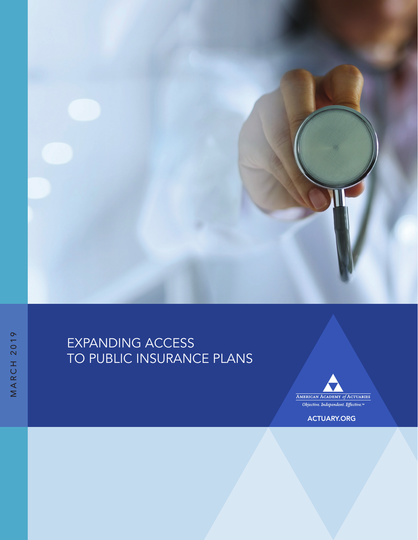

## EXPANDING ACCESS TO PUBLIC INSURANCE PLANS



ACTUARY.ORG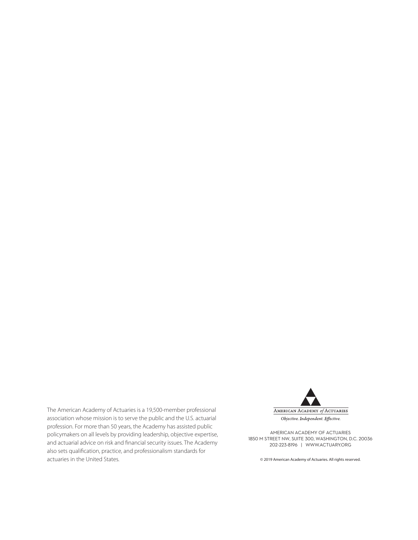The American Academy of Actuaries is a 19,500-member professional association whose mission is to serve the public and the U.S. actuarial profession. For more than 50 years, the Academy has assisted public policymakers on all levels by providing leadership, objective expertise, and actuarial advice on risk and financial security issues. The Academy also sets qualification, practice, and professionalism standards for actuaries in the United States.



Objective. Independent. Effective.

AMERICAN ACADEMY OF ACTUARIES 1850 M STREET NW, SUITE 300, WASHINGTON, D.C. 20036 202-223-8196 | [WWW.ACTUARY.ORG](http://www.actuary.org)

© 2019 American Academy of Actuaries. All rights reserved.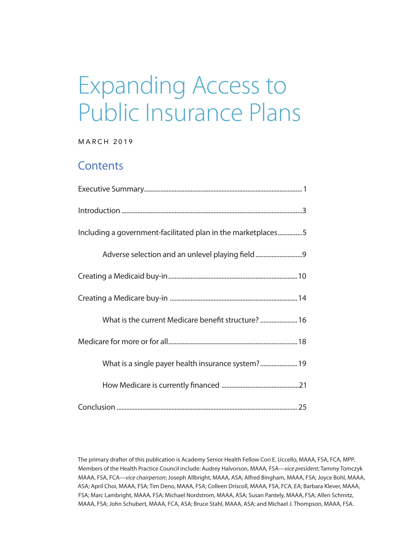# Expanding Access to Public Insurance Plans

#### MARCH 2019

### **Contents**

| Including a government-facilitated plan in the marketplaces5 |
|--------------------------------------------------------------|
| Adverse selection and an unlevel playing field9              |
|                                                              |
|                                                              |
| What is the current Medicare benefit structure?  16          |
|                                                              |
| What is a single payer health insurance system? 19           |
|                                                              |
|                                                              |

The primary drafter of this publication is Academy Senior Health Fellow Cori E. Uccello, MAAA, FSA, FCA, MPP. Members of the Health Practice Council include: Audrey Halvorson, MAAA, FSA—*vice president*; Tammy Tomczyk MAAA, FSA, FCA—*vice chairperson*; Joseph Allbright, MAAA, ASA; Alfred Bingham, MAAA, FSA; Joyce Bohl, MAAA, ASA; April Choi, MAAA, FSA; Tim Deno, MAAA, FSA; Colleen Driscoll, MAAA, FSA, FCA, EA; Barbara Klever, MAAA, FSA; Marc Lambright, MAAA, FSA; Michael Nordstrom, MAAA, ASA; Susan Pantely, MAAA, FSA; Allen Schmitz, MAAA, FSA; John Schubert, MAAA, FCA, ASA; Bruce Stahl, MAAA, ASA; and Michael J. Thompson, MAAA, FSA.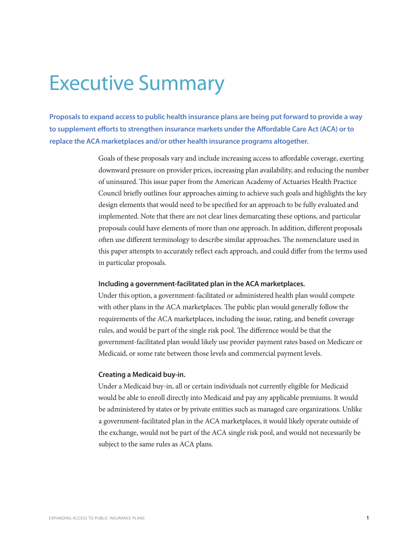# <span id="page-4-0"></span>Executive Summary

**Proposals to expand access to public health insurance plans are being put forward to provide a way to supplement efforts to strengthen insurance markets under the Affordable Care Act (ACA) or to replace the ACA marketplaces and/or other health insurance programs altogether.** 

> Goals of these proposals vary and include increasing access to affordable coverage, exerting downward pressure on provider prices, increasing plan availability, and reducing the number of uninsured. This issue paper from the American Academy of Actuaries Health Practice Council briefly outlines four approaches aiming to achieve such goals and highlights the key design elements that would need to be specified for an approach to be fully evaluated and implemented. Note that there are not clear lines demarcating these options, and particular proposals could have elements of more than one approach. In addition, different proposals often use different terminology to describe similar approaches. The nomenclature used in this paper attempts to accurately reflect each approach, and could differ from the terms used in particular proposals.

#### **Including a government-facilitated plan in the ACA marketplaces.**

Under this option, a government-facilitated or administered health plan would compete with other plans in the ACA marketplaces. The public plan would generally follow the requirements of the ACA marketplaces, including the issue, rating, and benefit coverage rules, and would be part of the single risk pool. The difference would be that the government-facilitated plan would likely use provider payment rates based on Medicare or Medicaid, or some rate between those levels and commercial payment levels.

#### **Creating a Medicaid buy-in.**

Under a Medicaid buy-in, all or certain individuals not currently eligible for Medicaid would be able to enroll directly into Medicaid and pay any applicable premiums. It would be administered by states or by private entities such as managed care organizations. Unlike a government-facilitated plan in the ACA marketplaces, it would likely operate outside of the exchange, would not be part of the ACA single risk pool, and would not necessarily be subject to the same rules as ACA plans.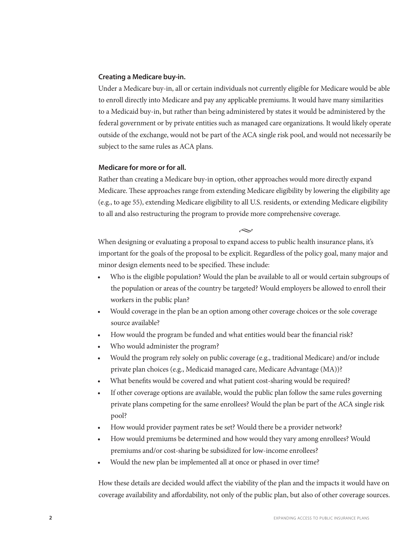#### **Creating a Medicare buy-in.**

Under a Medicare buy-in, all or certain individuals not currently eligible for Medicare would be able to enroll directly into Medicare and pay any applicable premiums. It would have many similarities to a Medicaid buy-in, but rather than being administered by states it would be administered by the federal government or by private entities such as managed care organizations. It would likely operate outside of the exchange, would not be part of the ACA single risk pool, and would not necessarily be subject to the same rules as ACA plans.

#### **Medicare for more or for all.**

Rather than creating a Medicare buy-in option, other approaches would more directly expand Medicare. These approaches range from extending Medicare eligibility by lowering the eligibility age (e.g., to age 55), extending Medicare eligibility to all U.S. residents, or extending Medicare eligibility to all and also restructuring the program to provide more comprehensive coverage.

When designing or evaluating a proposal to expand access to public health insurance plans, it's important for the goals of the proposal to be explicit. Regardless of the policy goal, many major and minor design elements need to be specified. These include:

 $\sim$ 

- Who is the eligible population? Would the plan be available to all or would certain subgroups of the population or areas of the country be targeted? Would employers be allowed to enroll their workers in the public plan?
- Would coverage in the plan be an option among other coverage choices or the sole coverage source available?
- How would the program be funded and what entities would bear the financial risk?
- Who would administer the program?
- Would the program rely solely on public coverage (e.g., traditional Medicare) and/or include private plan choices (e.g., Medicaid managed care, Medicare Advantage (MA))?
- What benefits would be covered and what patient cost-sharing would be required?
- If other coverage options are available, would the public plan follow the same rules governing private plans competing for the same enrollees? Would the plan be part of the ACA single risk pool?
- How would provider payment rates be set? Would there be a provider network?
- How would premiums be determined and how would they vary among enrollees? Would premiums and/or cost-sharing be subsidized for low-income enrollees?
- Would the new plan be implemented all at once or phased in over time?

How these details are decided would affect the viability of the plan and the impacts it would have on coverage availability and affordability, not only of the public plan, but also of other coverage sources.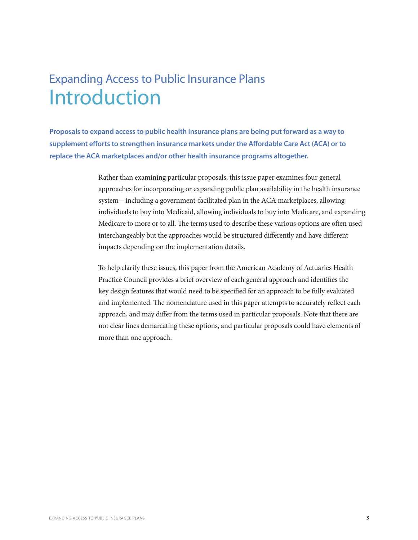## <span id="page-6-0"></span>Expanding Access to Public Insurance Plans Introduction

**Proposals to expand access to public health insurance plans are being put forward as a way to supplement efforts to strengthen insurance markets under the Affordable Care Act (ACA) or to replace the ACA marketplaces and/or other health insurance programs altogether.** 

> Rather than examining particular proposals, this issue paper examines four general approaches for incorporating or expanding public plan availability in the health insurance system—including a government-facilitated plan in the ACA marketplaces, allowing individuals to buy into Medicaid, allowing individuals to buy into Medicare, and expanding Medicare to more or to all. The terms used to describe these various options are often used interchangeably but the approaches would be structured differently and have different impacts depending on the implementation details.

To help clarify these issues, this paper from the American Academy of Actuaries Health Practice Council provides a brief overview of each general approach and identifies the key design features that would need to be specified for an approach to be fully evaluated and implemented. The nomenclature used in this paper attempts to accurately reflect each approach, and may differ from the terms used in particular proposals. Note that there are not clear lines demarcating these options, and particular proposals could have elements of more than one approach.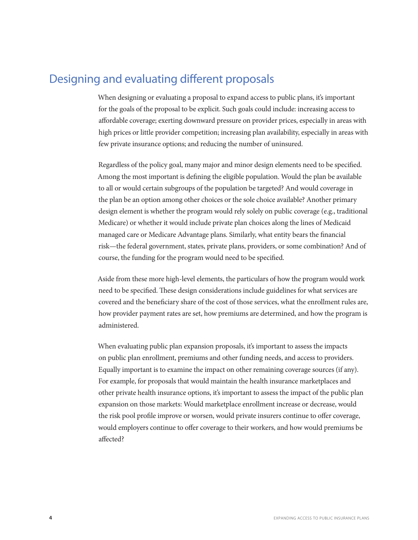### Designing and evaluating different proposals

When designing or evaluating a proposal to expand access to public plans, it's important for the goals of the proposal to be explicit. Such goals could include: increasing access to affordable coverage; exerting downward pressure on provider prices, especially in areas with high prices or little provider competition; increasing plan availability, especially in areas with few private insurance options; and reducing the number of uninsured.

Regardless of the policy goal, many major and minor design elements need to be specified. Among the most important is defining the eligible population. Would the plan be available to all or would certain subgroups of the population be targeted? And would coverage in the plan be an option among other choices or the sole choice available? Another primary design element is whether the program would rely solely on public coverage (e.g., traditional Medicare) or whether it would include private plan choices along the lines of Medicaid managed care or Medicare Advantage plans. Similarly, what entity bears the financial risk—the federal government, states, private plans, providers, or some combination? And of course, the funding for the program would need to be specified.

Aside from these more high-level elements, the particulars of how the program would work need to be specified. These design considerations include guidelines for what services are covered and the beneficiary share of the cost of those services, what the enrollment rules are, how provider payment rates are set, how premiums are determined, and how the program is administered.

When evaluating public plan expansion proposals, it's important to assess the impacts on public plan enrollment, premiums and other funding needs, and access to providers. Equally important is to examine the impact on other remaining coverage sources (if any). For example, for proposals that would maintain the health insurance marketplaces and other private health insurance options, it's important to assess the impact of the public plan expansion on those markets: Would marketplace enrollment increase or decrease, would the risk pool profile improve or worsen, would private insurers continue to offer coverage, would employers continue to offer coverage to their workers, and how would premiums be affected?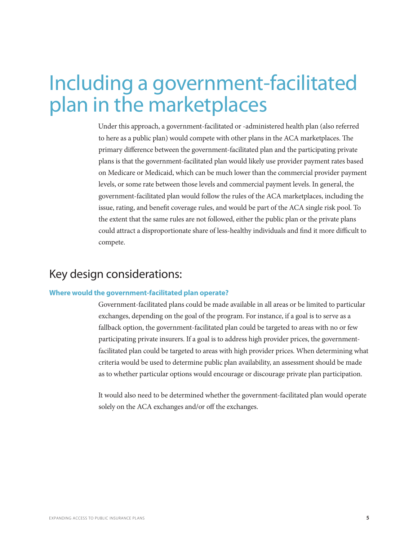# <span id="page-8-0"></span>Including a government-facilitated plan in the marketplaces

Under this approach, a government-facilitated or -administered health plan (also referred to here as a public plan) would compete with other plans in the ACA marketplaces. The primary difference between the government-facilitated plan and the participating private plans is that the government-facilitated plan would likely use provider payment rates based on Medicare or Medicaid, which can be much lower than the commercial provider payment levels, or some rate between those levels and commercial payment levels. In general, the government-facilitated plan would follow the rules of the ACA marketplaces, including the issue, rating, and benefit coverage rules, and would be part of the ACA single risk pool. To the extent that the same rules are not followed, either the public plan or the private plans could attract a disproportionate share of less-healthy individuals and find it more difficult to compete.

### Key design considerations:

#### **Where would the government-facilitated plan operate?**

Government-facilitated plans could be made available in all areas or be limited to particular exchanges, depending on the goal of the program. For instance, if a goal is to serve as a fallback option, the government-facilitated plan could be targeted to areas with no or few participating private insurers. If a goal is to address high provider prices, the governmentfacilitated plan could be targeted to areas with high provider prices. When determining what criteria would be used to determine public plan availability, an assessment should be made as to whether particular options would encourage or discourage private plan participation.

It would also need to be determined whether the government-facilitated plan would operate solely on the ACA exchanges and/or off the exchanges.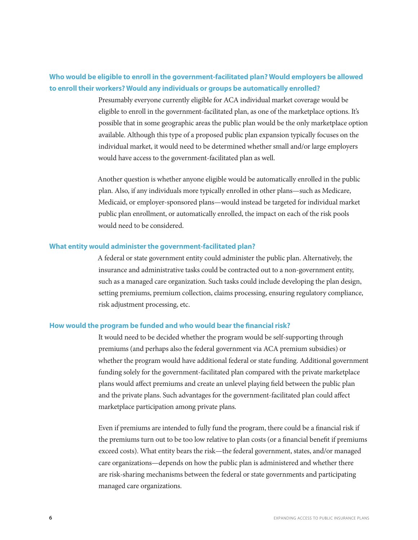#### **Who would be eligible to enroll in the government-facilitated plan? Would employers be allowed to enroll their workers? Would any individuals or groups be automatically enrolled?**

Presumably everyone currently eligible for ACA individual market coverage would be eligible to enroll in the government-facilitated plan, as one of the marketplace options. It's possible that in some geographic areas the public plan would be the only marketplace option available. Although this type of a proposed public plan expansion typically focuses on the individual market, it would need to be determined whether small and/or large employers would have access to the government-facilitated plan as well.

Another question is whether anyone eligible would be automatically enrolled in the public plan. Also, if any individuals more typically enrolled in other plans—such as Medicare, Medicaid, or employer-sponsored plans—would instead be targeted for individual market public plan enrollment, or automatically enrolled, the impact on each of the risk pools would need to be considered.

#### **What entity would administer the government-facilitated plan?**

A federal or state government entity could administer the public plan. Alternatively, the insurance and administrative tasks could be contracted out to a non-government entity, such as a managed care organization. Such tasks could include developing the plan design, setting premiums, premium collection, claims processing, ensuring regulatory compliance, risk adjustment processing, etc.

#### **How would the program be funded and who would bear the financial risk?**

It would need to be decided whether the program would be self-supporting through premiums (and perhaps also the federal government via ACA premium subsidies) or whether the program would have additional federal or state funding. Additional government funding solely for the government-facilitated plan compared with the private marketplace plans would affect premiums and create an unlevel playing field between the public plan and the private plans. Such advantages for the government-facilitated plan could affect marketplace participation among private plans.

Even if premiums are intended to fully fund the program, there could be a financial risk if the premiums turn out to be too low relative to plan costs (or a financial benefit if premiums exceed costs). What entity bears the risk—the federal government, states, and/or managed care organizations—depends on how the public plan is administered and whether there are risk-sharing mechanisms between the federal or state governments and participating managed care organizations.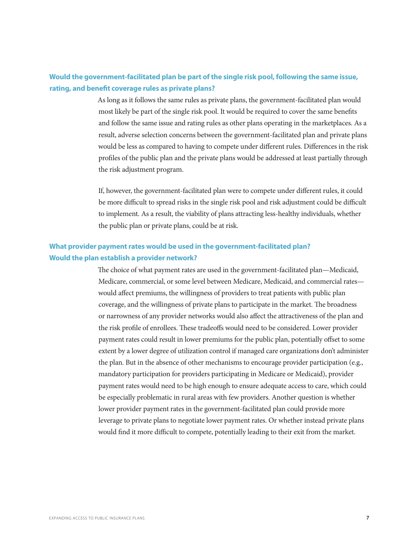#### **Would the government-facilitated plan be part of the single risk pool, following the same issue, rating, and benefit coverage rules as private plans?**

As long as it follows the same rules as private plans, the government-facilitated plan would most likely be part of the single risk pool. It would be required to cover the same benefits and follow the same issue and rating rules as other plans operating in the marketplaces. As a result, adverse selection concerns between the government-facilitated plan and private plans would be less as compared to having to compete under different rules. Differences in the risk profiles of the public plan and the private plans would be addressed at least partially through the risk adjustment program.

If, however, the government-facilitated plan were to compete under different rules, it could be more difficult to spread risks in the single risk pool and risk adjustment could be difficult to implement. As a result, the viability of plans attracting less-healthy individuals, whether the public plan or private plans, could be at risk.

#### **What provider payment rates would be used in the government-facilitated plan? Would the plan establish a provider network?**

The choice of what payment rates are used in the government-facilitated plan—Medicaid, Medicare, commercial, or some level between Medicare, Medicaid, and commercial rates would affect premiums, the willingness of providers to treat patients with public plan coverage, and the willingness of private plans to participate in the market. The broadness or narrowness of any provider networks would also affect the attractiveness of the plan and the risk profile of enrollees. These tradeoffs would need to be considered. Lower provider payment rates could result in lower premiums for the public plan, potentially offset to some extent by a lower degree of utilization control if managed care organizations don't administer the plan. But in the absence of other mechanisms to encourage provider participation (e.g., mandatory participation for providers participating in Medicare or Medicaid), provider payment rates would need to be high enough to ensure adequate access to care, which could be especially problematic in rural areas with few providers. Another question is whether lower provider payment rates in the government-facilitated plan could provide more leverage to private plans to negotiate lower payment rates. Or whether instead private plans would find it more difficult to compete, potentially leading to their exit from the market.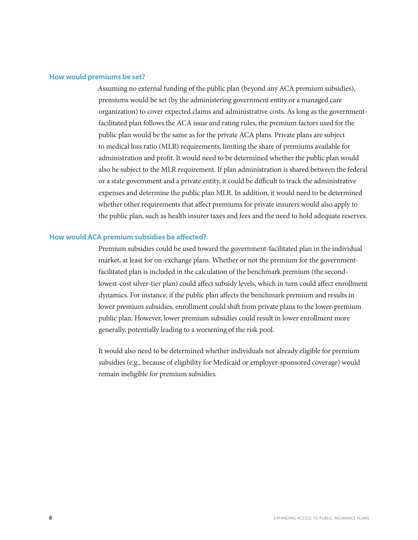#### **How would premiums be set?**

Assuming no external funding of the public plan (beyond any ACA premium subsidies), premiums would be set (by the administering government entity or a managed care organization) to cover expected claims and administrative costs. As long as the governmentfacilitated plan follows the ACA issue and rating rules, the premium factors used for the public plan would be the same as for the private ACA plans. Private plans are subject to medical loss ratio (MLR) requirements, limiting the share of premiums available for administration and profit. It would need to be determined whether the public plan would also be subject to the MLR requirement. If plan administration is shared between the federal or a state government and a private entity, it could be difficult to track the administrative expenses and determine the public plan MLR. In addition, it would need to be determined whether other requirements that affect premiums for private insurers would also apply to the public plan, such as health insurer taxes and fees and the need to hold adequate reserves.

#### **How would ACA premium subsidies be affected?**

Premium subsidies could be used toward the government-facilitated plan in the individual market, at least for on-exchange plans. Whether or not the premium for the governmentfacilitated plan is included in the calculation of the benchmark premium (the secondlowest-cost silver-tier plan) could affect subsidy levels, which in turn could affect enrollment dynamics. For instance, if the public plan affects the benchmark premium and results in lower premium subsidies, enrollment could shift from private plans to the lower-premium public plan. However, lower premium subsidies could result in lower enrollment more generally, potentially leading to a worsening of the risk pool.

It would also need to be determined whether individuals not already eligible for premium subsidies (e.g., because of eligibility for Medicaid or employer-sponsored coverage) would remain ineligible for premium subsidies.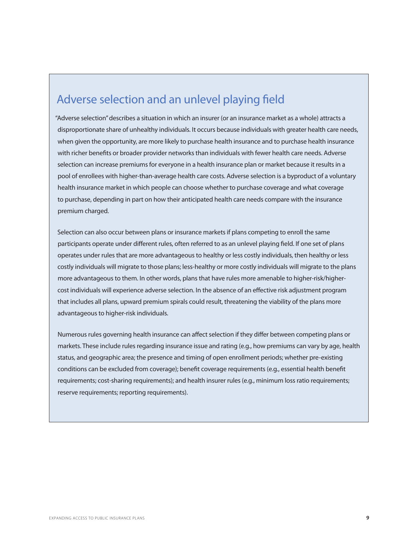## <span id="page-12-0"></span>Adverse selection and an unlevel playing field

"Adverse selection" describes a situation in which an insurer (or an insurance market as a whole) attracts a disproportionate share of unhealthy individuals. It occurs because individuals with greater health care needs, when given the opportunity, are more likely to purchase health insurance and to purchase health insurance with richer benefits or broader provider networks than individuals with fewer health care needs. Adverse selection can increase premiums for everyone in a health insurance plan or market because it results in a pool of enrollees with higher-than-average health care costs. Adverse selection is a byproduct of a voluntary health insurance market in which people can choose whether to purchase coverage and what coverage to purchase, depending in part on how their anticipated health care needs compare with the insurance premium charged.

Selection can also occur between plans or insurance markets if plans competing to enroll the same participants operate under different rules, often referred to as an unlevel playing field. If one set of plans operates under rules that are more advantageous to healthy or less costly individuals, then healthy or less costly individuals will migrate to those plans; less-healthy or more costly individuals will migrate to the plans more advantageous to them. In other words, plans that have rules more amenable to higher-risk/highercost individuals will experience adverse selection. In the absence of an effective risk adjustment program that includes all plans, upward premium spirals could result, threatening the viability of the plans more advantageous to higher-risk individuals.

Numerous rules governing health insurance can affect selection if they differ between competing plans or markets. These include rules regarding insurance issue and rating (e.g., how premiums can vary by age, health status, and geographic area; the presence and timing of open enrollment periods; whether pre-existing conditions can be excluded from coverage); benefit coverage requirements (e.g., essential health benefit requirements; cost-sharing requirements); and health insurer rules (e.g., minimum loss ratio requirements; reserve requirements; reporting requirements).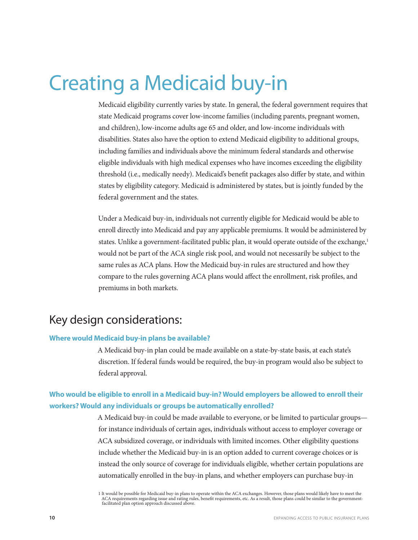# <span id="page-13-0"></span>Creating a Medicaid buy-in

Medicaid eligibility currently varies by state. In general, the federal government requires that state Medicaid programs cover low-income families (including parents, pregnant women, and children), low-income adults age 65 and older, and low-income individuals with disabilities. States also have the option to extend Medicaid eligibility to additional groups, including families and individuals above the minimum federal standards and otherwise eligible individuals with high medical expenses who have incomes exceeding the eligibility threshold (i.e., medically needy). Medicaid's benefit packages also differ by state, and within states by eligibility category. Medicaid is administered by states, but is jointly funded by the federal government and the states.

Under a Medicaid buy-in, individuals not currently eligible for Medicaid would be able to enroll directly into Medicaid and pay any applicable premiums. It would be administered by states. Unlike a government-facilitated public plan, it would operate outside of the exchange,<sup>1</sup> would not be part of the ACA single risk pool, and would not necessarily be subject to the same rules as ACA plans. How the Medicaid buy-in rules are structured and how they compare to the rules governing ACA plans would affect the enrollment, risk profiles, and premiums in both markets.

### Key design considerations:

#### **Where would Medicaid buy-in plans be available?**

A Medicaid buy-in plan could be made available on a state-by-state basis, at each state's discretion. If federal funds would be required, the buy-in program would also be subject to federal approval.

#### **Who would be eligible to enroll in a Medicaid buy-in? Would employers be allowed to enroll their workers? Would any individuals or groups be automatically enrolled?**

A Medicaid buy-in could be made available to everyone, or be limited to particular groups for instance individuals of certain ages, individuals without access to employer coverage or ACA subsidized coverage, or individuals with limited incomes. Other eligibility questions include whether the Medicaid buy-in is an option added to current coverage choices or is instead the only source of coverage for individuals eligible, whether certain populations are automatically enrolled in the buy-in plans, and whether employers can purchase buy-in

<sup>1</sup> It would be possible for Medicaid buy-in plans to operate within the ACA exchanges. However, those plans would likely have to meet the<br>ACA requirements regarding issue and rating rules, benefit requirements, etc. As a re facilitated plan option approach discussed above.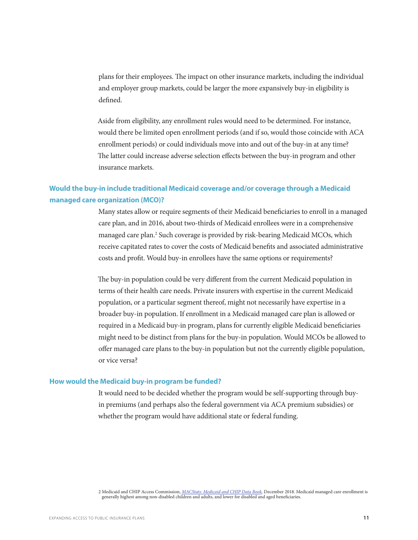plans for their employees. The impact on other insurance markets, including the individual and employer group markets, could be larger the more expansively buy-in eligibility is defined.

Aside from eligibility, any enrollment rules would need to be determined. For instance, would there be limited open enrollment periods (and if so, would those coincide with ACA enrollment periods) or could individuals move into and out of the buy-in at any time? The latter could increase adverse selection effects between the buy-in program and other insurance markets.

#### **Would the buy-in include traditional Medicaid coverage and/or coverage through a Medicaid managed care organization (MCO)?**

Many states allow or require segments of their Medicaid beneficiaries to enroll in a managed care plan, and in 2016, about two-thirds of Medicaid enrollees were in a comprehensive managed care plan.<sup>2</sup> Such coverage is provided by risk-bearing Medicaid MCOs, which receive capitated rates to cover the costs of Medicaid benefits and associated administrative costs and profit. Would buy-in enrollees have the same options or requirements?

The buy-in population could be very different from the current Medicaid population in terms of their health care needs. Private insurers with expertise in the current Medicaid population, or a particular segment thereof, might not necessarily have expertise in a broader buy-in population. If enrollment in a Medicaid managed care plan is allowed or required in a Medicaid buy-in program, plans for currently eligible Medicaid beneficiaries might need to be distinct from plans for the buy-in population. Would MCOs be allowed to offer managed care plans to the buy-in population but not the currently eligible population, or vice versa?

#### **How would the Medicaid buy-in program be funded?**

It would need to be decided whether the program would be self-supporting through buyin premiums (and perhaps also the federal government via ACA premium subsidies) or whether the program would have additional state or federal funding.

2 Medicaid and CHIP Access Commission, <u>[MACStats: Medicaid and CHIP Data Book](https://www.macpac.gov/wp-content/uploads/2018/12/December-2018-MACStats-Data-Book.pdf)</u>, December 2018. Medicaid managed care enrollment is<br>generally highest among non-disabled children and adults, and lower for disabled and aged b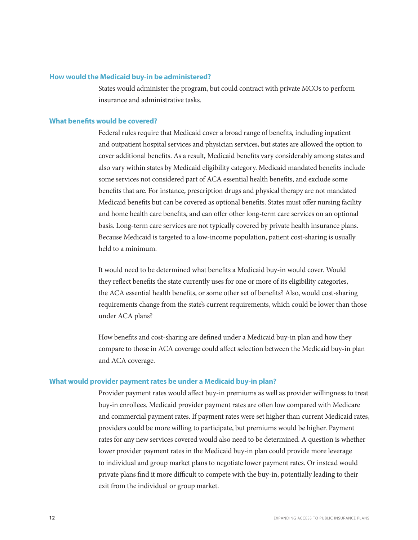#### **How would the Medicaid buy-in be administered?**

States would administer the program, but could contract with private MCOs to perform insurance and administrative tasks.

#### **What benefits would be covered?**

Federal rules require that Medicaid cover a broad range of benefits, including inpatient and outpatient hospital services and physician services, but states are allowed the option to cover additional benefits. As a result, Medicaid benefits vary considerably among states and also vary within states by Medicaid eligibility category. Medicaid mandated benefits include some services not considered part of ACA essential health benefits, and exclude some benefits that are. For instance, prescription drugs and physical therapy are not mandated Medicaid benefits but can be covered as optional benefits. States must offer nursing facility and home health care benefits, and can offer other long-term care services on an optional basis. Long-term care services are not typically covered by private health insurance plans. Because Medicaid is targeted to a low-income population, patient cost-sharing is usually held to a minimum.

It would need to be determined what benefits a Medicaid buy-in would cover. Would they reflect benefits the state currently uses for one or more of its eligibility categories, the ACA essential health benefits, or some other set of benefits? Also, would cost-sharing requirements change from the state's current requirements, which could be lower than those under ACA plans?

How benefits and cost-sharing are defined under a Medicaid buy-in plan and how they compare to those in ACA coverage could affect selection between the Medicaid buy-in plan and ACA coverage.

#### **What would provider payment rates be under a Medicaid buy-in plan?**

Provider payment rates would affect buy-in premiums as well as provider willingness to treat buy-in enrollees. Medicaid provider payment rates are often low compared with Medicare and commercial payment rates. If payment rates were set higher than current Medicaid rates, providers could be more willing to participate, but premiums would be higher. Payment rates for any new services covered would also need to be determined. A question is whether lower provider payment rates in the Medicaid buy-in plan could provide more leverage to individual and group market plans to negotiate lower payment rates. Or instead would private plans find it more difficult to compete with the buy-in, potentially leading to their exit from the individual or group market.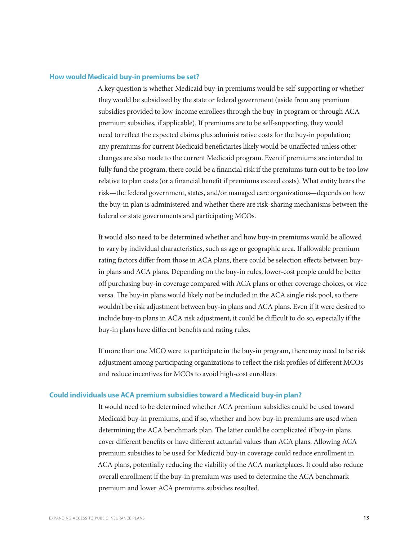#### **How would Medicaid buy-in premiums be set?**

A key question is whether Medicaid buy-in premiums would be self-supporting or whether they would be subsidized by the state or federal government (aside from any premium subsidies provided to low-income enrollees through the buy-in program or through ACA premium subsidies, if applicable). If premiums are to be self-supporting, they would need to reflect the expected claims plus administrative costs for the buy-in population; any premiums for current Medicaid beneficiaries likely would be unaffected unless other changes are also made to the current Medicaid program. Even if premiums are intended to fully fund the program, there could be a financial risk if the premiums turn out to be too low relative to plan costs (or a financial benefit if premiums exceed costs). What entity bears the risk—the federal government, states, and/or managed care organizations—depends on how the buy-in plan is administered and whether there are risk-sharing mechanisms between the federal or state governments and participating MCOs.

It would also need to be determined whether and how buy-in premiums would be allowed to vary by individual characteristics, such as age or geographic area. If allowable premium rating factors differ from those in ACA plans, there could be selection effects between buyin plans and ACA plans. Depending on the buy-in rules, lower-cost people could be better off purchasing buy-in coverage compared with ACA plans or other coverage choices, or vice versa. The buy-in plans would likely not be included in the ACA single risk pool, so there wouldn't be risk adjustment between buy-in plans and ACA plans. Even if it were desired to include buy-in plans in ACA risk adjustment, it could be difficult to do so, especially if the buy-in plans have different benefits and rating rules.

If more than one MCO were to participate in the buy-in program, there may need to be risk adjustment among participating organizations to reflect the risk profiles of different MCOs and reduce incentives for MCOs to avoid high-cost enrollees.

#### **Could individuals use ACA premium subsidies toward a Medicaid buy-in plan?**

It would need to be determined whether ACA premium subsidies could be used toward Medicaid buy-in premiums, and if so, whether and how buy-in premiums are used when determining the ACA benchmark plan. The latter could be complicated if buy-in plans cover different benefits or have different actuarial values than ACA plans. Allowing ACA premium subsidies to be used for Medicaid buy-in coverage could reduce enrollment in ACA plans, potentially reducing the viability of the ACA marketplaces. It could also reduce overall enrollment if the buy-in premium was used to determine the ACA benchmark premium and lower ACA premiums subsidies resulted.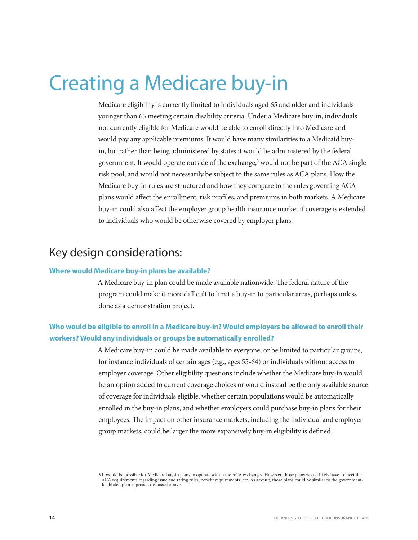# <span id="page-17-0"></span>Creating a Medicare buy-in

Medicare eligibility is currently limited to individuals aged 65 and older and individuals younger than 65 meeting certain disability criteria. Under a Medicare buy-in, individuals not currently eligible for Medicare would be able to enroll directly into Medicare and would pay any applicable premiums. It would have many similarities to a Medicaid buyin, but rather than being administered by states it would be administered by the federal government. It would operate outside of the exchange,<sup>3</sup> would not be part of the ACA single risk pool, and would not necessarily be subject to the same rules as ACA plans. How the Medicare buy-in rules are structured and how they compare to the rules governing ACA plans would affect the enrollment, risk profiles, and premiums in both markets. A Medicare buy-in could also affect the employer group health insurance market if coverage is extended to individuals who would be otherwise covered by employer plans.

### Key design considerations:

#### **Where would Medicare buy-in plans be available?**

A Medicare buy-in plan could be made available nationwide. The federal nature of the program could make it more difficult to limit a buy-in to particular areas, perhaps unless done as a demonstration project.

#### **Who would be eligible to enroll in a Medicare buy-in? Would employers be allowed to enroll their workers? Would any individuals or groups be automatically enrolled?**

A Medicare buy-in could be made available to everyone, or be limited to particular groups, for instance individuals of certain ages (e.g., ages 55-64) or individuals without access to employer coverage. Other eligibility questions include whether the Medicare buy-in would be an option added to current coverage choices or would instead be the only available source of coverage for individuals eligible, whether certain populations would be automatically enrolled in the buy-in plans, and whether employers could purchase buy-in plans for their employees. The impact on other insurance markets, including the individual and employer group markets, could be larger the more expansively buy-in eligibility is defined.

<sup>3</sup> It would be possible for Medicare buy-in plans to operate within the ACA exchanges. However, those plans would likely have to meet the ACA requirements regarding issue and rating rules, benefit requirements, etc. As a result, those plans could be similar to the government-facilitated plan approach discussed above.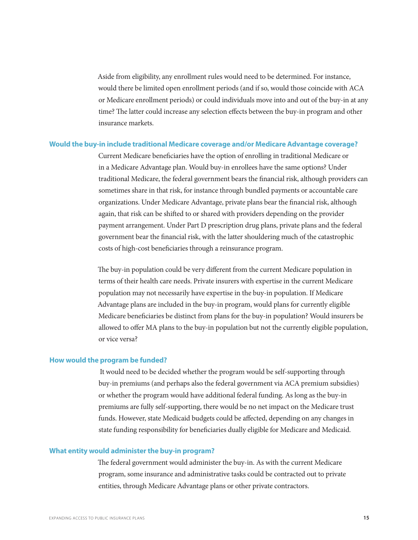Aside from eligibility, any enrollment rules would need to be determined. For instance, would there be limited open enrollment periods (and if so, would those coincide with ACA or Medicare enrollment periods) or could individuals move into and out of the buy-in at any time? The latter could increase any selection effects between the buy-in program and other insurance markets.

#### **Would the buy-in include traditional Medicare coverage and/or Medicare Advantage coverage?**

Current Medicare beneficiaries have the option of enrolling in traditional Medicare or in a Medicare Advantage plan. Would buy-in enrollees have the same options? Under traditional Medicare, the federal government bears the financial risk, although providers can sometimes share in that risk, for instance through bundled payments or accountable care organizations. Under Medicare Advantage, private plans bear the financial risk, although again, that risk can be shifted to or shared with providers depending on the provider payment arrangement. Under Part D prescription drug plans, private plans and the federal government bear the financial risk, with the latter shouldering much of the catastrophic costs of high-cost beneficiaries through a reinsurance program.

The buy-in population could be very different from the current Medicare population in terms of their health care needs. Private insurers with expertise in the current Medicare population may not necessarily have expertise in the buy-in population. If Medicare Advantage plans are included in the buy-in program, would plans for currently eligible Medicare beneficiaries be distinct from plans for the buy-in population? Would insurers be allowed to offer MA plans to the buy-in population but not the currently eligible population, or vice versa?

#### **How would the program be funded?**

 It would need to be decided whether the program would be self-supporting through buy-in premiums (and perhaps also the federal government via ACA premium subsidies) or whether the program would have additional federal funding. As long as the buy-in premiums are fully self-supporting, there would be no net impact on the Medicare trust funds. However, state Medicaid budgets could be affected, depending on any changes in state funding responsibility for beneficiaries dually eligible for Medicare and Medicaid.

#### **What entity would administer the buy-in program?**

The federal government would administer the buy-in. As with the current Medicare program, some insurance and administrative tasks could be contracted out to private entities, through Medicare Advantage plans or other private contractors.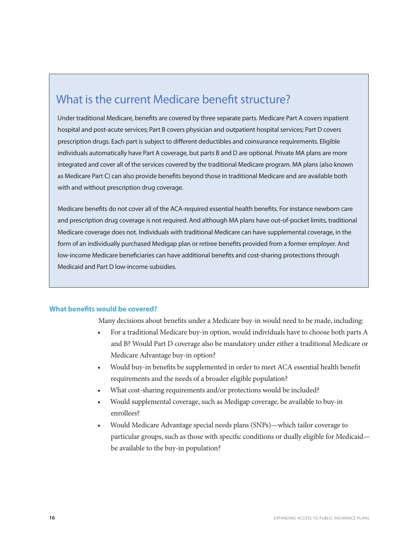## <span id="page-19-0"></span>What is the current Medicare benefit structure?

Under traditional Medicare, benefits are covered by three separate parts. Medicare Part A covers inpatient hospital and post-acute services; Part B covers physician and outpatient hospital services; Part D covers prescription drugs. Each part is subject to different deductibles and coinsurance requirements. Eligible individuals automatically have Part A coverage, but parts B and D are optional. Private MA plans are more integrated and cover all of the services covered by the traditional Medicare program. MA plans (also known as Medicare Part C) can also provide benefits beyond those in traditional Medicare and are available both with and without prescription drug coverage.

Medicare benefits do not cover all of the ACA-required essential health benefits. For instance newborn care and prescription drug coverage is not required. And although MA plans have out-of-pocket limits, traditional Medicare coverage does not. Individuals with traditional Medicare can have supplemental coverage, in the form of an individually purchased Medigap plan or retiree benefits provided from a former employer. And low-income Medicare beneficiaries can have additional benefits and cost-sharing protections through Medicaid and Part D low-income subsidies.

#### **What benefits would be covered?**

Many decisions about benefits under a Medicare buy-in would need to be made, including:

- For a traditional Medicare buy-in option, would individuals have to choose both parts A and B? Would Part D coverage also be mandatory under either a traditional Medicare or Medicare Advantage buy-in option?
- Would buy-in benefits be supplemented in order to meet ACA essential health benefit requirements and the needs of a broader eligible population?
- What cost-sharing requirements and/or protections would be included?
- Would supplemental coverage, such as Medigap coverage, be available to buy-in enrollees?
- Would Medicare Advantage special needs plans (SNPs)—which tailor coverage to particular groups, such as those with specific conditions or dually eligible for Medicaid be available to the buy-in population?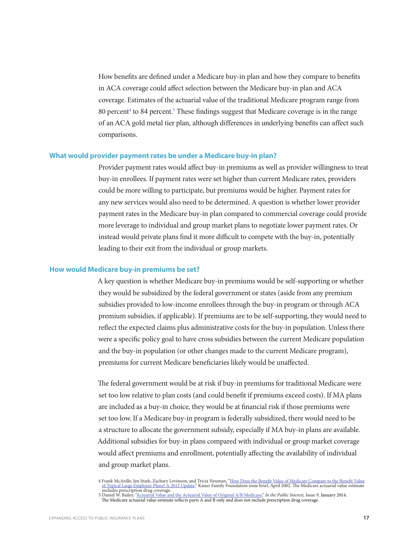How benefits are defined under a Medicare buy-in plan and how they compare to benefits in ACA coverage could affect selection between the Medicare buy-in plan and ACA coverage. Estimates of the actuarial value of the traditional Medicare program range from 80 percent<sup>4</sup> to 84 percent.<sup>5</sup> These findings suggest that Medicare coverage is in the range of an ACA gold metal tier plan, although differences in underlying benefits can affect such comparisons.

#### **What would provider payment rates be under a Medicare buy-in plan?**

Provider payment rates would affect buy-in premiums as well as provider willingness to treat buy-in enrollees. If payment rates were set higher than current Medicare rates, providers could be more willing to participate, but premiums would be higher. Payment rates for any new services would also need to be determined. A question is whether lower provider payment rates in the Medicare buy-in plan compared to commercial coverage could provide more leverage to individual and group market plans to negotiate lower payment rates. Or instead would private plans find it more difficult to compete with the buy-in, potentially leading to their exit from the individual or group markets.

#### **How would Medicare buy-in premiums be set?**

A key question is whether Medicare buy-in premiums would be self-supporting or whether they would be subsidized by the federal government or states (aside from any premium subsidies provided to low-income enrollees through the buy-in program or through ACA premium subsidies, if applicable). If premiums are to be self-supporting, they would need to reflect the expected claims plus administrative costs for the buy-in population. Unless there were a specific policy goal to have cross subsidies between the current Medicare population and the buy-in population (or other changes made to the current Medicare program), premiums for current Medicare beneficiaries likely would be unaffected.

The federal government would be at risk if buy-in premiums for traditional Medicare were set too low relative to plan costs (and could benefit if premiums exceed costs). If MA plans are included as a buy-in choice, they would be at financial risk if those premiums were set too low. If a Medicare buy-in program is federally subsidized, there would need to be a structure to allocate the government subsidy, especially if MA buy-in plans are available. Additional subsidies for buy-in plans compared with individual or group market coverage would affect premiums and enrollment, potentially affecting the availability of individual and group market plans.

<sup>4</sup> Frank McArdle, Ian Stark, Zachary Levinson, and Tricia Neuman, ["How Does the Benefit Value of Medicare Compare to the Benefit Value](https://kaiserfamilyfoundation.files.wordpress.com/2013/01/7768-02.pdf) [of Typical Large Employer Plans? A 2012 Update](https://kaiserfamilyfoundation.files.wordpress.com/2013/01/7768-02.pdf)," Kaiser Family Foundation issue brief, April 2002. The Medicare actuarial value estimate

includes prescription drug coverage. 5 Daniel W. Bailey, ["Actuarial Value and the Actuarial Value of Original A/B Medicare,](https://www.soa.org/Library/Newsletters/In-Public-Interest/2014/january/ipi-2014-iss9-bailey.aspx)" *In the Public Interest,* Issue 9*,* January 2014. The Medicare actuarial value estimate reflects parts A and B only and does not include prescription drug coverage.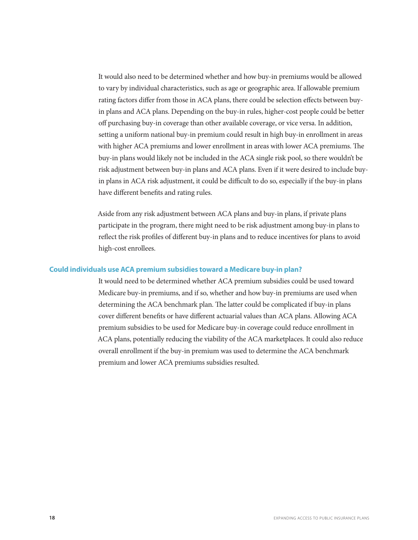<span id="page-21-0"></span>It would also need to be determined whether and how buy-in premiums would be allowed to vary by individual characteristics, such as age or geographic area. If allowable premium rating factors differ from those in ACA plans, there could be selection effects between buyin plans and ACA plans. Depending on the buy-in rules, higher-cost people could be better off purchasing buy-in coverage than other available coverage, or vice versa. In addition, setting a uniform national buy-in premium could result in high buy-in enrollment in areas with higher ACA premiums and lower enrollment in areas with lower ACA premiums. The buy-in plans would likely not be included in the ACA single risk pool, so there wouldn't be risk adjustment between buy-in plans and ACA plans. Even if it were desired to include buyin plans in ACA risk adjustment, it could be difficult to do so, especially if the buy-in plans have different benefits and rating rules.

Aside from any risk adjustment between ACA plans and buy-in plans, if private plans participate in the program, there might need to be risk adjustment among buy-in plans to reflect the risk profiles of different buy-in plans and to reduce incentives for plans to avoid high-cost enrollees.

#### **Could individuals use ACA premium subsidies toward a Medicare buy-in plan?**

It would need to be determined whether ACA premium subsidies could be used toward Medicare buy-in premiums, and if so, whether and how buy-in premiums are used when determining the ACA benchmark plan. The latter could be complicated if buy-in plans cover different benefits or have different actuarial values than ACA plans. Allowing ACA premium subsidies to be used for Medicare buy-in coverage could reduce enrollment in ACA plans, potentially reducing the viability of the ACA marketplaces. It could also reduce overall enrollment if the buy-in premium was used to determine the ACA benchmark premium and lower ACA premiums subsidies resulted.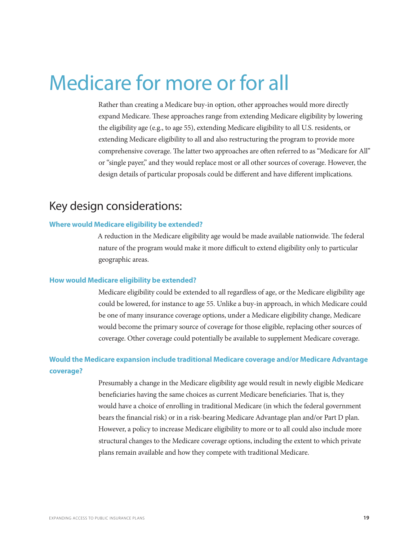## <span id="page-22-0"></span>Medicare for more or for all

Rather than creating a Medicare buy-in option, other approaches would more directly expand Medicare. These approaches range from extending Medicare eligibility by lowering the eligibility age (e.g., to age 55), extending Medicare eligibility to all U.S. residents, or extending Medicare eligibility to all and also restructuring the program to provide more comprehensive coverage. The latter two approaches are often referred to as "Medicare for All" or "single payer," and they would replace most or all other sources of coverage. However, the design details of particular proposals could be different and have different implications.

### Key design considerations:

#### **Where would Medicare eligibility be extended?**

A reduction in the Medicare eligibility age would be made available nationwide. The federal nature of the program would make it more difficult to extend eligibility only to particular geographic areas.

#### **How would Medicare eligibility be extended?**

Medicare eligibility could be extended to all regardless of age, or the Medicare eligibility age could be lowered, for instance to age 55. Unlike a buy-in approach, in which Medicare could be one of many insurance coverage options, under a Medicare eligibility change, Medicare would become the primary source of coverage for those eligible, replacing other sources of coverage. Other coverage could potentially be available to supplement Medicare coverage.

#### **Would the Medicare expansion include traditional Medicare coverage and/or Medicare Advantage coverage?**

Presumably a change in the Medicare eligibility age would result in newly eligible Medicare beneficiaries having the same choices as current Medicare beneficiaries. That is, they would have a choice of enrolling in traditional Medicare (in which the federal government bears the financial risk) or in a risk-bearing Medicare Advantage plan and/or Part D plan. However, a policy to increase Medicare eligibility to more or to all could also include more structural changes to the Medicare coverage options, including the extent to which private plans remain available and how they compete with traditional Medicare.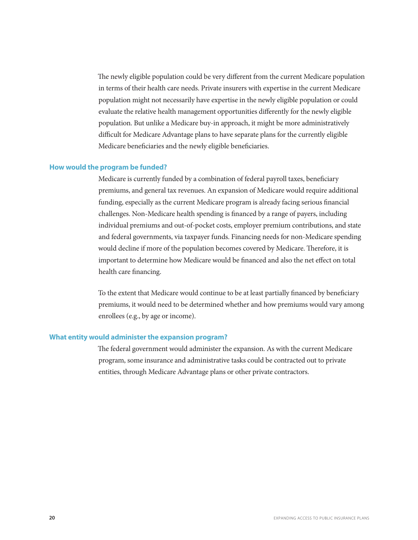The newly eligible population could be very different from the current Medicare population in terms of their health care needs. Private insurers with expertise in the current Medicare population might not necessarily have expertise in the newly eligible population or could evaluate the relative health management opportunities differently for the newly eligible population. But unlike a Medicare buy-in approach, it might be more administratively difficult for Medicare Advantage plans to have separate plans for the currently eligible Medicare beneficiaries and the newly eligible beneficiaries.

#### **How would the program be funded?**

Medicare is currently funded by a combination of federal payroll taxes, beneficiary premiums, and general tax revenues. An expansion of Medicare would require additional funding, especially as the current Medicare program is already facing serious financial challenges. Non-Medicare health spending is financed by a range of payers, including individual premiums and out-of-pocket costs, employer premium contributions, and state and federal governments, via taxpayer funds. Financing needs for non-Medicare spending would decline if more of the population becomes covered by Medicare. Therefore, it is important to determine how Medicare would be financed and also the net effect on total health care financing.

To the extent that Medicare would continue to be at least partially financed by beneficiary premiums, it would need to be determined whether and how premiums would vary among enrollees (e.g., by age or income).

#### **What entity would administer the expansion program?**

The federal government would administer the expansion. As with the current Medicare program, some insurance and administrative tasks could be contracted out to private entities, through Medicare Advantage plans or other private contractors.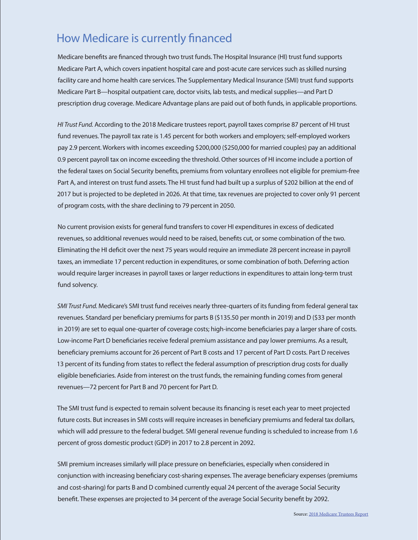## <span id="page-24-0"></span>How Medicare is currently financed

Medicare benefits are financed through two trust funds. The Hospital Insurance (HI) trust fund supports Medicare Part A, which covers inpatient hospital care and post-acute care services such as skilled nursing facility care and home health care services. The Supplementary Medical Insurance (SMI) trust fund supports Medicare Part B—hospital outpatient care, doctor visits, lab tests, and medical supplies—and Part D prescription drug coverage. Medicare Advantage plans are paid out of both funds, in applicable proportions.

*HI Trust Fund.* According to the 2018 Medicare trustees report, payroll taxes comprise 87 percent of HI trust fund revenues. The payroll tax rate is 1.45 percent for both workers and employers; self-employed workers pay 2.9 percent. Workers with incomes exceeding \$200,000 (\$250,000 for married couples) pay an additional 0.9 percent payroll tax on income exceeding the threshold. Other sources of HI income include a portion of the federal taxes on Social Security benefits, premiums from voluntary enrollees not eligible for premium-free Part A, and interest on trust fund assets. The HI trust fund had built up a surplus of \$202 billion at the end of 2017 but is projected to be depleted in 2026. At that time, tax revenues are projected to cover only 91 percent of program costs, with the share declining to 79 percent in 2050.

No current provision exists for general fund transfers to cover HI expenditures in excess of dedicated revenues, so additional revenues would need to be raised, benefits cut, or some combination of the two. Eliminating the HI deficit over the next 75 years would require an immediate 28 percent increase in payroll taxes, an immediate 17 percent reduction in expenditures, or some combination of both. Deferring action would require larger increases in payroll taxes or larger reductions in expenditures to attain long-term trust fund solvency.

*SMI Trust Fund.* Medicare's SMI trust fund receives nearly three-quarters of its funding from federal general tax revenues. Standard per beneficiary premiums for parts B (\$135.50 per month in 2019) and D (\$33 per month in 2019) are set to equal one-quarter of coverage costs; high-income beneficiaries pay a larger share of costs. Low-income Part D beneficiaries receive federal premium assistance and pay lower premiums. As a result, beneficiary premiums account for 26 percent of Part B costs and 17 percent of Part D costs. Part D receives 13 percent of its funding from states to reflect the federal assumption of prescription drug costs for dually eligible beneficiaries. Aside from interest on the trust funds, the remaining funding comes from general revenues—72 percent for Part B and 70 percent for Part D.

The SMI trust fund is expected to remain solvent because its financing is reset each year to meet projected future costs. But increases in SMI costs will require increases in beneficiary premiums and federal tax dollars, which will add pressure to the federal budget. SMI general revenue funding is scheduled to increase from 1.6 percent of gross domestic product (GDP) in 2017 to 2.8 percent in 2092.

SMI premium increases similarly will place pressure on beneficiaries, especially when considered in conjunction with increasing beneficiary cost-sharing expenses. The average beneficiary expenses (premiums and cost-sharing) for parts B and D combined currently equal 24 percent of the average Social Security benefit. These expenses are projected to 34 percent of the average Social Security benefit by 2092.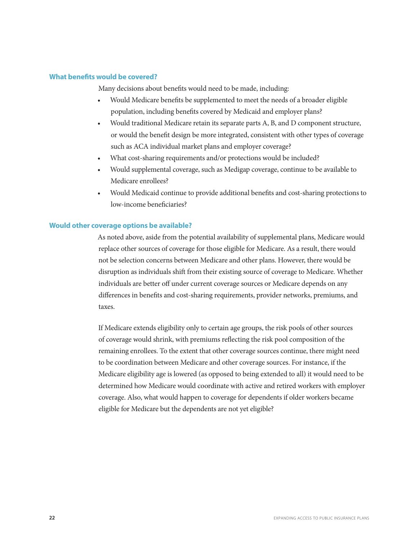#### **What benefits would be covered?**

Many decisions about benefits would need to be made, including:

- Would Medicare benefits be supplemented to meet the needs of a broader eligible population, including benefits covered by Medicaid and employer plans?
- Would traditional Medicare retain its separate parts A, B, and D component structure, or would the benefit design be more integrated, consistent with other types of coverage such as ACA individual market plans and employer coverage?
- What cost-sharing requirements and/or protections would be included?
- Would supplemental coverage, such as Medigap coverage, continue to be available to Medicare enrollees?
- Would Medicaid continue to provide additional benefits and cost-sharing protections to low-income beneficiaries?

#### **Would other coverage options be available?**

As noted above, aside from the potential availability of supplemental plans, Medicare would replace other sources of coverage for those eligible for Medicare. As a result, there would not be selection concerns between Medicare and other plans. However, there would be disruption as individuals shift from their existing source of coverage to Medicare. Whether individuals are better off under current coverage sources or Medicare depends on any differences in benefits and cost-sharing requirements, provider networks, premiums, and taxes.

If Medicare extends eligibility only to certain age groups, the risk pools of other sources of coverage would shrink, with premiums reflecting the risk pool composition of the remaining enrollees. To the extent that other coverage sources continue, there might need to be coordination between Medicare and other coverage sources. For instance, if the Medicare eligibility age is lowered (as opposed to being extended to all) it would need to be determined how Medicare would coordinate with active and retired workers with employer coverage. Also, what would happen to coverage for dependents if older workers became eligible for Medicare but the dependents are not yet eligible?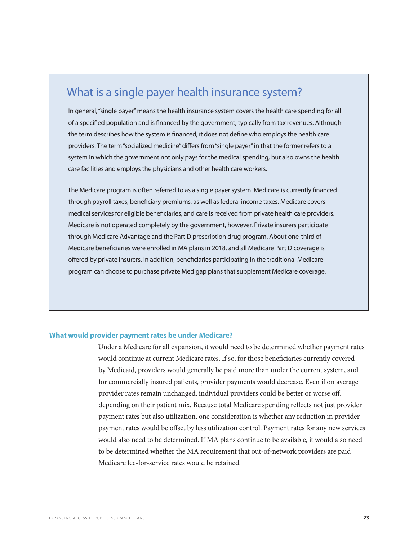### What is a single payer health insurance system?

In general, "single payer" means the health insurance system covers the health care spending for all of a specified population and is financed by the government, typically from tax revenues. Although the term describes how the system is financed, it does not define who employs the health care providers. The term "socialized medicine" differs from "single payer" in that the former refers to a system in which the government not only pays for the medical spending, but also owns the health care facilities and employs the physicians and other health care workers.

The Medicare program is often referred to as a single payer system. Medicare is currently financed through payroll taxes, beneficiary premiums, as well as federal income taxes. Medicare covers medical services for eligible beneficiaries, and care is received from private health care providers. Medicare is not operated completely by the government, however. Private insurers participate through Medicare Advantage and the Part D prescription drug program. About one-third of Medicare beneficiaries were enrolled in MA plans in 2018, and all Medicare Part D coverage is offered by private insurers. In addition, beneficiaries participating in the traditional Medicare program can choose to purchase private Medigap plans that supplement Medicare coverage.

#### **What would provider payment rates be under Medicare?**

Under a Medicare for all expansion, it would need to be determined whether payment rates would continue at current Medicare rates. If so, for those beneficiaries currently covered by Medicaid, providers would generally be paid more than under the current system, and for commercially insured patients, provider payments would decrease. Even if on average provider rates remain unchanged, individual providers could be better or worse off, depending on their patient mix. Because total Medicare spending reflects not just provider payment rates but also utilization, one consideration is whether any reduction in provider payment rates would be offset by less utilization control. Payment rates for any new services would also need to be determined. If MA plans continue to be available, it would also need to be determined whether the MA requirement that out-of-network providers are paid Medicare fee-for-service rates would be retained.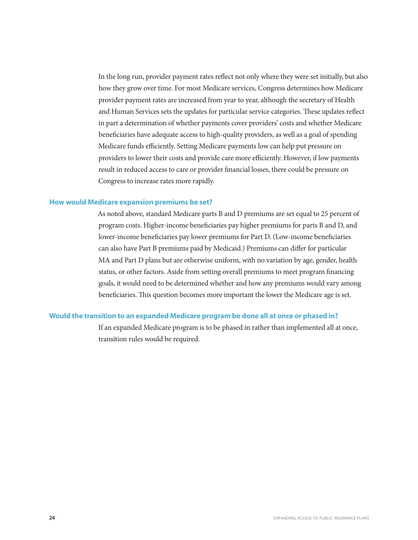In the long run, provider payment rates reflect not only where they were set initially, but also how they grow over time. For most Medicare services, Congress determines how Medicare provider payment rates are increased from year to year, although the secretary of Health and Human Services sets the updates for particular service categories. These updates reflect in part a determination of whether payments cover providers' costs and whether Medicare beneficiaries have adequate access to high-quality providers, as well as a goal of spending Medicare funds efficiently. Setting Medicare payments low can help put pressure on providers to lower their costs and provide care more efficiently. However, if low payments result in reduced access to care or provider financial losses, there could be pressure on Congress to increase rates more rapidly.

#### **How would Medicare expansion premiums be set?**

As noted above, standard Medicare parts B and D premiums are set equal to 25 percent of program costs. Higher-income beneficiaries pay higher premiums for parts B and D, and lower-income beneficiaries pay lower premiums for Part D. (Low-income beneficiaries can also have Part B premiums paid by Medicaid.) Premiums can differ for particular MA and Part D plans but are otherwise uniform, with no variation by age, gender, health status, or other factors. Aside from setting overall premiums to meet program financing goals, it would need to be determined whether and how any premiums would vary among beneficiaries. This question becomes more important the lower the Medicare age is set.

#### **Would the transition to an expanded Medicare program be done all at once or phased in?**

If an expanded Medicare program is to be phased in rather than implemented all at once, transition rules would be required.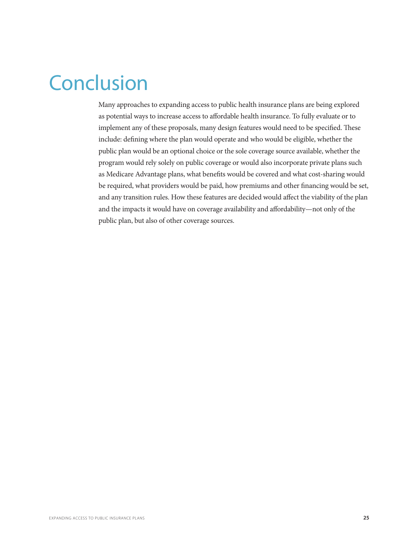## <span id="page-28-0"></span>**Conclusion**

Many approaches to expanding access to public health insurance plans are being explored as potential ways to increase access to affordable health insurance. To fully evaluate or to implement any of these proposals, many design features would need to be specified. These include: defining where the plan would operate and who would be eligible, whether the public plan would be an optional choice or the sole coverage source available, whether the program would rely solely on public coverage or would also incorporate private plans such as Medicare Advantage plans, what benefits would be covered and what cost-sharing would be required, what providers would be paid, how premiums and other financing would be set, and any transition rules. How these features are decided would affect the viability of the plan and the impacts it would have on coverage availability and affordability—not only of the public plan, but also of other coverage sources.